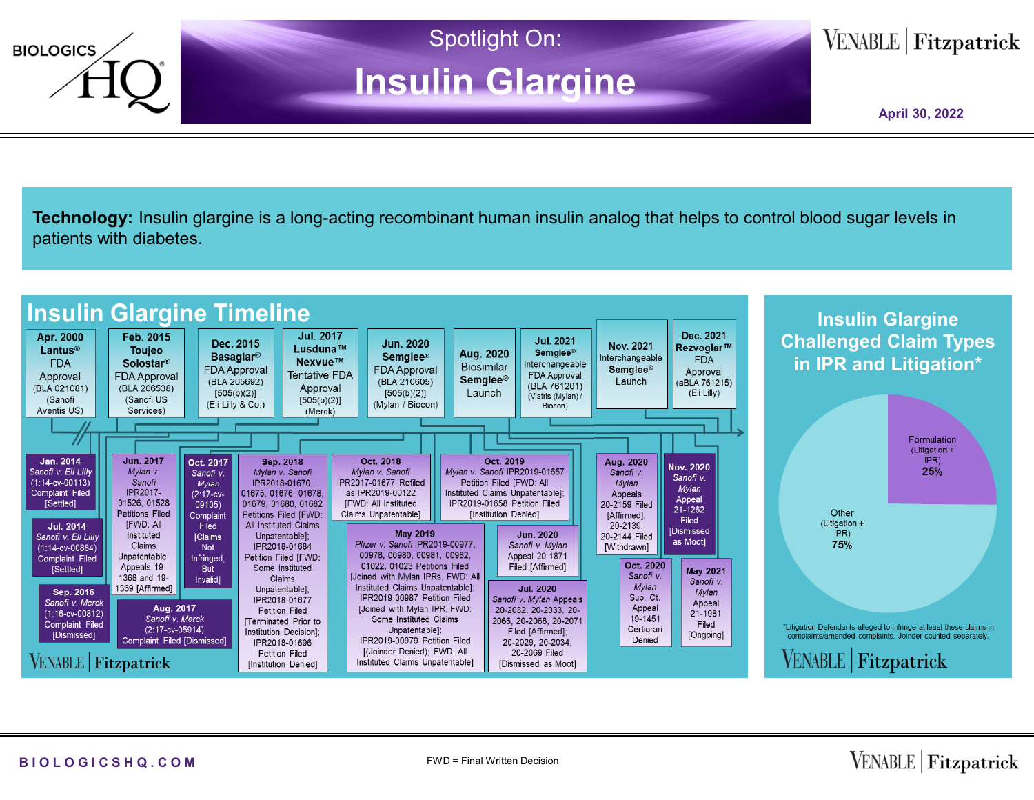

**Technology:** Insulin glargine is a long-acting recombinant human insulin analog that helps to control blood sugar levels in patients with diabetes.